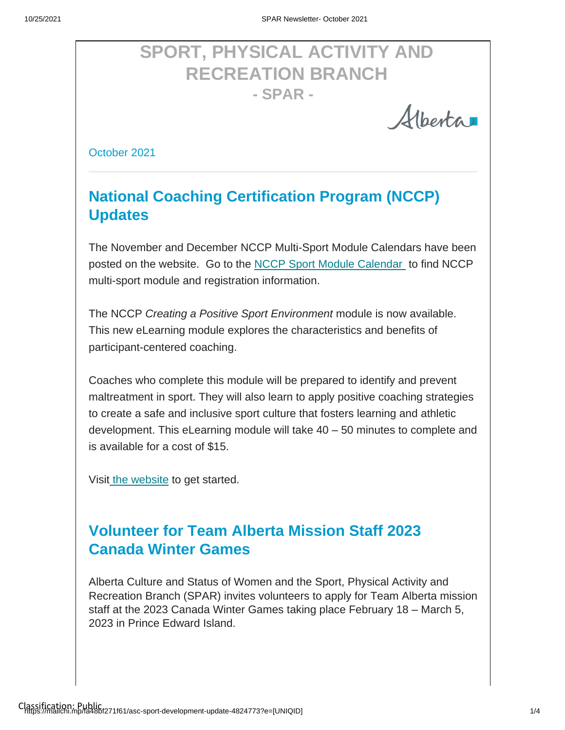# **SPORT, PHYSICAL ACTIVITY AND RECREATION BRANCH - SPAR -**

Albertar

October 2021

## **National Coaching Certification Program (NCCP) Updates**

The November and December NCCP Multi-Sport Module Calendars have been posted on the website. Go to the [NCCP Sport Module Calendar](https://albertasport.ca/nccp-module-calendar/) to find NCCP multi-sport module and registration information.

The NCCP *Creating a Positive Sport Environment* module is now available. This new eLearning module explores the characteristics and benefits of participant-centered coaching.

Coaches who complete this module will be prepared to identify and prevent maltreatment in sport. They will also learn to apply positive coaching strategies to create a safe and inclusive sport culture that fosters learning and athletic development. This eLearning module will take 40 – 50 minutes to complete and is available for a cost of \$15.

Visit [the website](https://albertasport.ca/nccp-elearning-modules/#CPSE) to get started.

### **Volunteer for Team Alberta Mission Staff 2023 Canada Winter Games**

Alberta Culture and Status of Women and the Sport, Physical Activity and Recreation Branch (SPAR) invites volunteers to apply for Team Alberta mission staff at the 2023 Canada Winter Games taking place February 18 – March 5, 2023 in Prince Edward Island.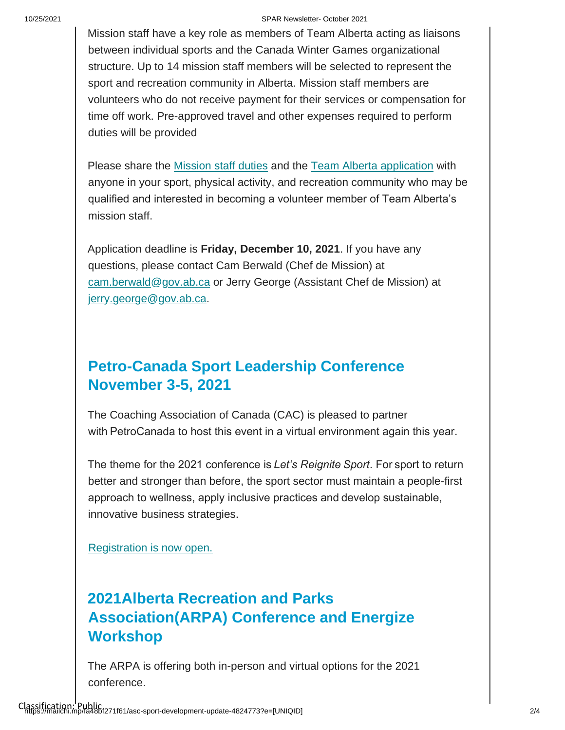#### 10/25/2021 SPAR Newsletter- October 2021

Mission staff have a key role as members of Team Alberta acting as liaisons between individual sports and the Canada Winter Games organizational structure. Up to 14 mission staff members will be selected to represent the sport and recreation community in Alberta. Mission staff members are volunteers who do not receive payment for their services or compensation for time off work. Pre-approved travel and other expenses required to perform duties will be provided

Please share the **Mission staff duties** and the **Team Alberta application** with anyone in your sport, physical activity, and recreation community who may be qualified and interested in becoming a volunteer member of Team Alberta's mission staff.

Application deadline is **Friday, December 10, 2021**. If you have any questions, please contact Cam Berwald (Chef de Mission) at cam.berwald@gov.ab.ca or Jerry George (Assistant Chef de Mission) at jerry.george@gov.ab.ca.

### **Petro-Canada Sport Leadership Conference November 3-5, 2021**

The Coaching Association of Canada (CAC) is pleased to partner with PetroCanada to host this event in a virtual environment again this year.

The theme for the 2021 conference is *Let's Reignite Sport*. For sport to return better and stronger than before, the sport sector must maintain a people-first approach to wellness, apply inclusive practices and develop sustainable, innovative business strategies.

[Registration is now open.](https://coach.ca/petro-canada-sport-leadership-sportif-conference?utm_source=CAC+-+Inside+Coaching&utm_campaign=7cf4e161c4-EMAIL_CAMPAIGN_2018_04_17_COPY_01&utm_medium=email&utm_term=0_b810808a44-7cf4e161c4-193564069)

## **2021Alberta Recreation and Parks Association(ARPA) Conference and Energize Workshop**

The ARPA is offering both in-person and virtual options for the 2021 conference.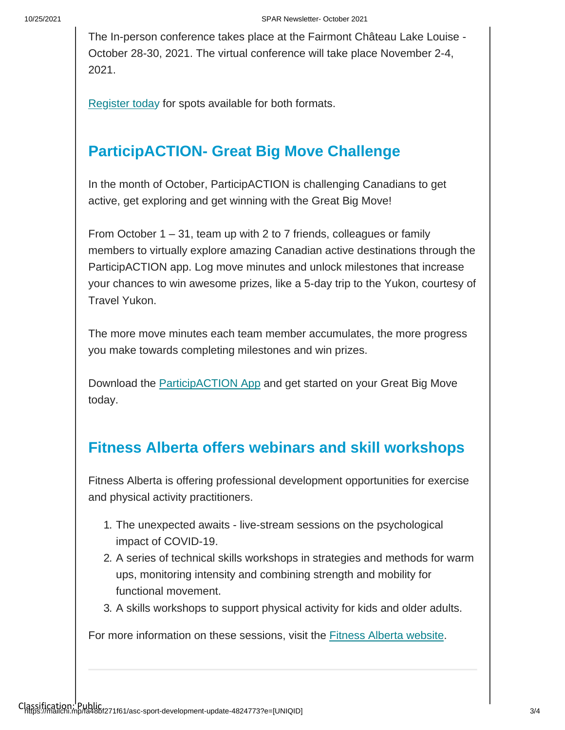The In-person conference takes place at the Fairmont Château Lake Louise - October 28-30, 2021. The virtual conference will take place November 2-4, 2021.

[Register today](https://arpaonline.regfox.com/2021-arpa-conference) for spots available for both formats.

### **ParticipACTION- Great Big Move Challenge**

In the month of October, ParticipACTION is challenging Canadians to get active, get exploring and get winning with the Great Big Move!

From October 1 – 31, team up with 2 to 7 friends, colleagues or family members to virtually explore amazing Canadian active destinations through the ParticipACTION app. Log move minutes and unlock milestones that increase your chances to win awesome prizes, like a 5-day trip to the Yukon, courtesy of Travel Yukon.

The more move minutes each team member accumulates, the more progress you make towards completing milestones and win prizes.

Download the [ParticipACTION App](https://www.participaction.com/en-ca/programs/app?utm_term=download%20our%20app&utm_campaign=GBMLaunch_Stakeholder_Oct1_Bilingual&utm_content=email&utm_source=Sector&utm_medium=Email&cm_mmc=Act-On%20Software-_-email-_-The%20Great%20Big%20Move%20arrives%20%2F%2F%20Le%20Grand%20mouvement%20s%5Cu2019en%20vient-_-download%20our%20app) and get started on your Great Big Move today.

#### **Fitness Alberta offers webinars and skill workshops**

Fitness Alberta is offering professional development opportunities for exercise and physical activity practitioners.

- 1. The unexpected awaits live-stream sessions on the psychological impact of COVID-19.
- 2. A series of technical skills workshops in strategies and methods for warm ups, monitoring intensity and combining strength and mobility for functional movement.
- 3. A skills workshops to support physical activity for kids and older adults.

For more information on these sessions, visit the [Fitness Alberta website.](https://can01.safelinks.protection.outlook.com/?url=http%3A%2F%2Fwww.fitnessalberta.com%2F&data=04%7C01%7Csheri.wilson%40gov.ab.ca%7Cd8188f6c80974af8fd2608d98d8be3af%7C2bb51c06af9b42c58bf53c3b7b10850b%7C0%7C0%7C637696454217737304%7CUnknown%7CTWFpbGZsb3d8eyJWIjoiMC4wLjAwMDAiLCJQIjoiV2luMzIiLCJBTiI6Ik1haWwiLCJXVCI6Mn0%3D%7C1000&sdata=5V2Gej7Tc%2FAy2T2ZojJ6EDExNnI0OxvyhNBVrDBkmM0%3D&reserved=0)